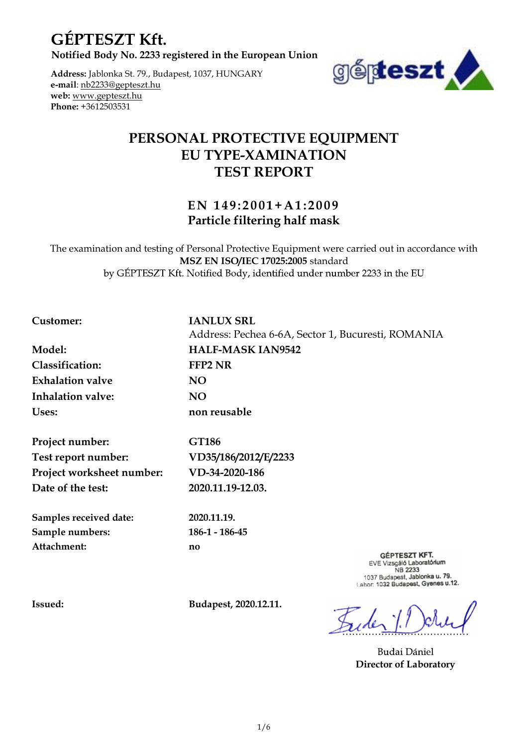**GÉPTESZT Kft.** 

Address: Jablonka St. 79., Budapest, 1037, HUNGARY e-mail: nb2233@gepteszt.hu web: www.gepteszt.hu Phone: +3612503531



# PERSONAL PROTECTIVE EQUIPMENT EU TYPE-XAMINATION TEST REPORT E E NET HUNGARY<br>
E NET HUNGARY<br>
E NET HE PROTECTIVE EQUIPMENT<br>
EN 149:2001+A1:2009<br>
Particle filtering half mask<br>
Personal Protective Equipment were carried out in accordance with<br>
Notified Boy is 252.5005 standard<br>
Notifi

# Particle filtering half mask

The examination and testing of Personal Protective Equipment were carried out in accordance with MSZ EN ISO/IEC 17025:2005 standard

# Customer: IANLUX SRL

Classification: FFP2 NR Exhalation valve NO Inhalation valve: NO Uses: non reusable

Project number: GT186 Test report number: VD35/186/2012/E/2233 Project worksheet number: VD-34-2020-186 Date of the test: 2020.11.19-12.03.

Samples received date: 2020.11.19. Sample numbers: 186-1 - 186-45 Attachment: no

Model: HALF-MASK IAN9542

Address: Pechea 6-6A, Sector 1, Bucuresti, ROMANIA

**GÉPTESZT KFT.** EVE Vizsgáló Laboratórium<br>NB 2233 1037 Budapest, Jablonka u. 79. Labor: 1032 Budapest, Gyenes u.12.

Issued: Budapest, 2020.12.11.

**Budai Dániel** Director of Laboratory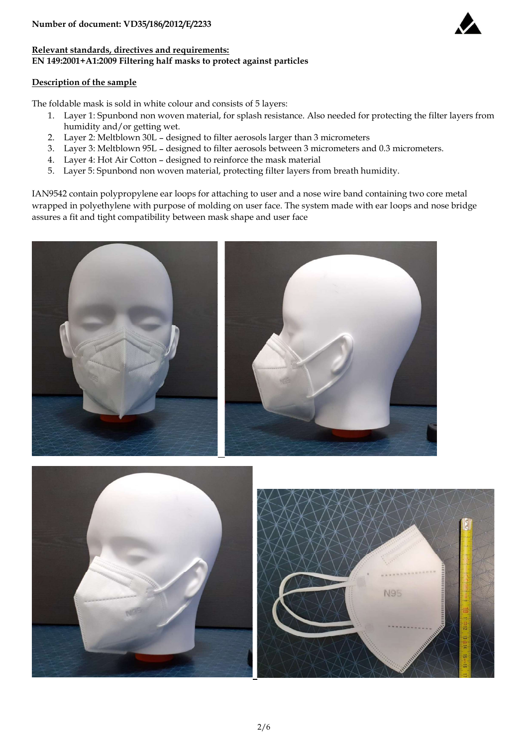

# Relevant standards, directives and requirements: EN 149:2001+A1:2009 Filtering half masks to protect against particles

# Description of the sample

The foldable mask is sold in white colour and consists of 5 layers:

- 1. 1. 1995/186/2012/E/2233<br>1. 149:2001+A1:2009 Filtering half masks to protect against particles<br>1149:2001+A1:2009 Filtering half masks to protect against particles<br>1. Layer 1: Spunbond non woven material, for splash resis humidity and/or getting wet. mber of document: VD35/186/2012/E/2233<br>
149:2001+A1:2009 Filtering half masks to protect against particles<br>
149:2001+A1:2009 Filtering half masks to protect against particles<br>
1. Layer 1: Spunbond non woven material, for s
- 
- 
- 
- 

**Example 1. Layer 3: Hotel State State 3: Layer 3: Meltical State State State State State State State State State State State State State State State State State State State State State State State State State State State** mber of document: VD35/186/2012/E/2233<br>
evant standards, directives and requirements:<br>
4149:2001+A1:2009 Filtering half masks to protect against particles<br>
cription of the sample<br>
foldable mask is sold in white colour and 19.42 total modes of the sample and total material, protectives and requirements:<br>
19.2001+A1:2009 Filtering half masks to protect against particles<br>
19.2001+A1:2009 Filtering half masks to protect against particles<br>
1. La IAN9542 contain polypropylene ear loops for attaching to user and a nose wire band containing two core metal wrapped in polyethylene with purpose of molding on user face. The system made with ear loops and nose bridge assures a fit and tight compatibility between mask shape and user face



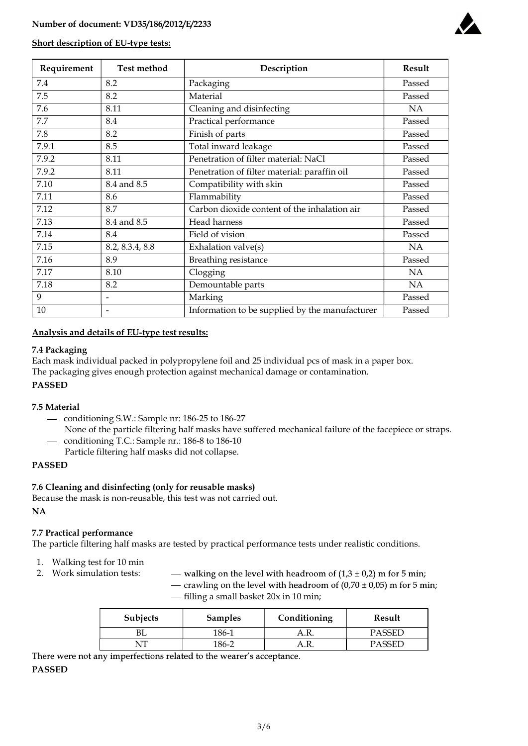

# Short description of EU-type tests:

| Number of document: VD35/186/2012/E/2233 |                                            |                                                |        |
|------------------------------------------|--------------------------------------------|------------------------------------------------|--------|
|                                          |                                            |                                                |        |
|                                          |                                            |                                                |        |
|                                          |                                            |                                                |        |
|                                          | <b>Short description of EU-type tests:</b> |                                                |        |
| Requirement                              | <b>Test method</b>                         | Description                                    | Result |
| $7.4\,$                                  | 8.2                                        | Packaging                                      | Passed |
| 7.5                                      | 8.2                                        | Material                                       | Passed |
| 7.6                                      | 8.11                                       | Cleaning and disinfecting                      | NA     |
| 7.7                                      | 8.4                                        | Practical performance                          | Passed |
| 7.8                                      | 8.2                                        | Finish of parts                                | Passed |
| 7.9.1                                    | 8.5                                        | Total inward leakage                           | Passed |
| 7.9.2                                    | 8.11                                       | Penetration of filter material: NaCl           | Passed |
| 7.9.2                                    | 8.11                                       | Penetration of filter material: paraffin oil   | Passed |
| 7.10                                     | 8.4 and 8.5                                | Compatibility with skin                        | Passed |
| 7.11                                     | 8.6                                        | Flammability                                   | Passed |
| 7.12                                     | 8.7                                        | Carbon dioxide content of the inhalation air   | Passed |
| 7.13                                     | 8.4 and 8.5                                | Head harness                                   | Passed |
| 7.14                                     | 8.4                                        | Field of vision                                | Passed |
| 7.15                                     | 8.2, 8.3.4, 8.8                            | Exhalation valve(s)                            | NA     |
| 7.16                                     | $\overline{8.9}$                           | Breathing resistance                           | Passed |
| 7.17                                     | 8.10                                       | Clogging                                       | NA     |
| 7.18                                     | 8.2                                        | Demountable parts                              | NA     |
|                                          | $\qquad \qquad \blacksquare$               | Marking                                        | Passed |
|                                          | $\overline{\phantom{0}}$                   | Information to be supplied by the manufacturer | Passed |

# Analysis and details of EU-type test results:

# 7.4 Packaging

Each mask individual packed in polypropylene foil and 25 individual pcs of mask in a paper box. The packaging gives enough protection against mechanical damage or contamination.

# PASSED

# 7.5 Material

- conditioning S.W.: Sample nr: 186-25 to 186-27
- None of the particle filtering half masks have suffered mechanical failure of the facepiece or straps. - conditioning T.C.: Sample nr.: 186-8 to 186-10
- Particle filtering half masks did not collapse.

# PASSED

# 7.6 Cleaning and disinfecting (only for reusable masks)

Because the mask is non-reusable, this test was not carried out.

#### NA the contract of the contract of the contract of the contract of the contract of the contract of the contract of the contract of the contract of the contract of the contract of the contract of the contract of the contrac

# 7.7 Practical performance

The particle filtering half masks are tested by practical performance tests under realistic conditions.

- 1. Walking test for 10 min
- 
- 2. Work simulation tests:  $-$  walking on the level with headroom of  $(1,3 \pm 0,2)$  m for 5 min;

— crawling on the level with headroom of  $(0.70 \pm 0.05)$  m for 5 min;  $-$  filling a small basket 20x in 10 min;

| <b>Subjects</b> | <b>Samples</b> | Conditioning | Result |
|-----------------|----------------|--------------|--------|
| DL              | 186-1          | ΔR<br>л.п.   | PASSED |
| . TT            | 186-2          | A.R.         | PASSED |

There were not any imperfections related to the wearer's acceptance.

# PASSED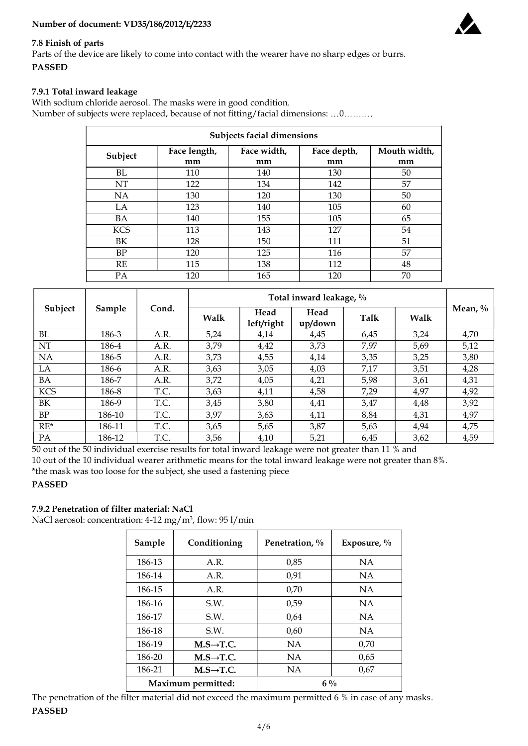# Number of document: VD35/186/2012/E/2233



# 7.8 Finish of parts

Parts of the device are likely to come into contact with the wearer have no sharp edges or burrs. PASSED

# 7.9.1 Total inward leakage

With sodium chloride aerosol. The masks were in good condition. Number of subjects were replaced, because of not fitting/facial dimensions: ...0.........

|            | Subjects facial dimensions |                                        |     |                    |  |  |  |
|------------|----------------------------|----------------------------------------|-----|--------------------|--|--|--|
| Subject    | Face length,<br>mm         | Face width,<br>Face depth,<br>mm<br>mm |     | Mouth width,<br>mm |  |  |  |
| BL         | 110                        | 140                                    | 130 | 50                 |  |  |  |
| NT         | 122                        | 134                                    | 142 | 57                 |  |  |  |
| NA         | 130                        | 120                                    | 130 | 50                 |  |  |  |
| LA         | 123                        | 140                                    | 105 | 60                 |  |  |  |
| ΒA         | 140                        | 155                                    | 105 | 65                 |  |  |  |
| <b>KCS</b> | 113                        | 143                                    | 127 | 54                 |  |  |  |
| BΚ         | 128                        | 150                                    | 111 | 51                 |  |  |  |
| BP         | 120                        | 125                                    | 116 | 57                 |  |  |  |
| RE         | 115                        | 138                                    | 112 | 48                 |  |  |  |
| PA         | 120                        | 165                                    | 120 | 70                 |  |  |  |

|                       | Subjects facial dimensions |       |                         |                    |                 |      |              |            |  |
|-----------------------|----------------------------|-------|-------------------------|--------------------|-----------------|------|--------------|------------|--|
|                       | Subject                    |       | Face length,            | Face width,        | Face depth,     |      | Mouth width, |            |  |
|                       |                            |       | mm                      | mm                 | mm              |      | mm           |            |  |
|                       | <b>BL</b>                  |       | 110                     | 140                | 130             |      | 50           |            |  |
|                       | NT                         |       | 122                     | 134                | 142             |      | 57           |            |  |
|                       | NA                         |       | 130                     | 120                | 130             |      | 50           |            |  |
|                       | LA                         |       | 123                     | 140                | 105             |      | 60           |            |  |
|                       | <b>BA</b>                  |       | 140                     | 155                | 105             |      | 65           |            |  |
|                       | <b>KCS</b>                 |       | 113                     | 143                | 127             |      | 54           |            |  |
|                       | BK                         |       | 128                     | 150                | 111             |      | 51           |            |  |
|                       | BP                         |       | 120                     | 125                | 116             |      | 57           |            |  |
|                       | RE                         |       | 115                     | 138                | 112             |      | 48           |            |  |
|                       | PA                         |       | 120                     | 165                | 120             |      | 70           |            |  |
|                       |                            |       | Total inward leakage, % |                    |                 |      |              |            |  |
| Subject               | Sample                     | Cond. | Walk                    | Head<br>left/right | Head<br>up/down | Talk | Walk         | Mean, $\%$ |  |
| BL                    | 186-3                      | A.R.  | 5,24                    | 4,14               | 4,45            | 6,45 | 3,24         | 4,70       |  |
| $\rm{NT}$             | 186-4                      | A.R.  | 3,79                    | 4,42               | 3,73            | 7,97 | 5,69         | 5,12       |  |
| $\rm NA$              | 186-5                      | A.R.  | 3,73                    | 4,55               | 4,14            | 3,35 | 3,25         | 3,80       |  |
| ${\rm LA}$            | 186-6                      | A.R.  | 3,63                    | 3,05               | 4,03            | 7,17 | 3,51         | 4,28       |  |
| $\rm BA$              | 186-7                      | A.R.  | 3,72                    | 4,05               | 4,21            | 5,98 | 3,61         | 4,31       |  |
| $\rm KCS$             | 186-8                      | T.C.  | 3,63                    | 4,11               | 4,58            | 7,29 | 4,97         | 4,92       |  |
| $\rm BK$              | 186-9                      | T.C.  | 3,45                    | 3,80               | 4,41            | 3,47 | 4,48         | 3,92       |  |
| BP                    | 186-10                     | T.C.  | 3,97                    | 3,63               | 4,11            | 8,84 | 4,31         | 4,97       |  |
| $\mathrm{RE}^{\star}$ | 186-11                     | T.C.  | 3,65                    | 5,65               | 3,87            | 5,63 | 4,94         | 4,75       |  |
| PA                    | 186-12                     | T.C.  | 3,56                    | 4,10               | 5,21            | 6,45 | 3,62         | 4,59       |  |

# PASSED

# 7.9.2 Penetration of filter material: NaCl

NaCl aerosol: concentration: 4-12 mg/m3 , flow: 95 l/min

| Sample | Conditioning          | Penetration, % | Exposure, $\%$ |
|--------|-----------------------|----------------|----------------|
| 186-13 | A.R.                  | 0,85           | <b>NA</b>      |
| 186-14 | A.R.                  | 0,91           | <b>NA</b>      |
| 186-15 | A.R.                  | 0,70           | <b>NA</b>      |
| 186-16 | S.W.                  | 0,59           | <b>NA</b>      |
| 186-17 | S.W.                  | 0,64           | <b>NA</b>      |
| 186-18 | S.W.                  | 0,60           | <b>NA</b>      |
| 186-19 | $M.S\rightarrow T.C.$ | <b>NA</b>      | 0,70           |
| 186-20 | $M.S\rightarrow T.C.$ | <b>NA</b>      | 0,65           |
| 186-21 | $M.S\rightarrow T.C.$ | <b>NA</b>      | 0,67           |
|        | Maximum permitted:    | $6\%$          |                |

The penetration of the filter material did not exceed the maximum permitted 6 % in case of any masks. PASSED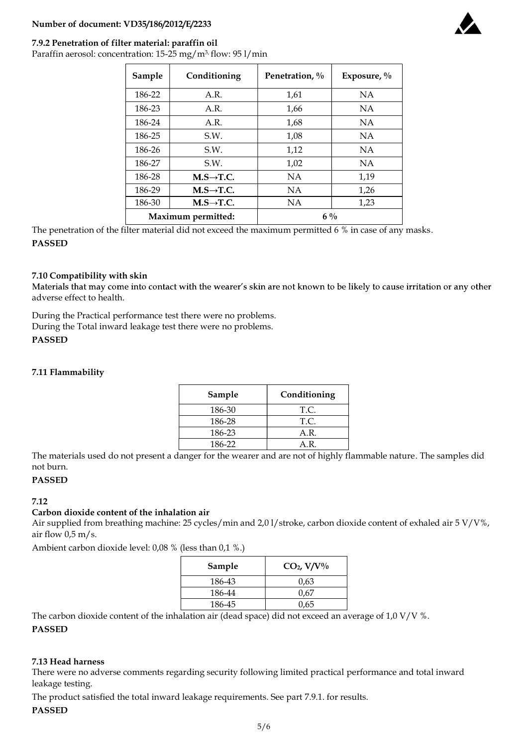# Number of document: VD35/186/2012/E/2233

# 7.9.2 Penetration of filter material: paraffin oil

Paraffin aerosol: concentration: 15-25 mg/m<sup>3,</sup> flow: 95 l/min

| Sample | Conditioning           | Penetration, % | Exposure, $\%$ |
|--------|------------------------|----------------|----------------|
| 186-22 | A.R.                   | 1,61           | <b>NA</b>      |
| 186-23 | A.R.                   | 1,66           | <b>NA</b>      |
| 186-24 | A.R.                   | 1,68           | <b>NA</b>      |
| 186-25 | S.W.                   | 1,08           | <b>NA</b>      |
| 186-26 | S.W.                   | 1,12           | <b>NA</b>      |
| 186-27 | S.W.                   | 1,02           | <b>NA</b>      |
| 186-28 | $M.S \rightarrow T.C.$ | <b>NA</b>      | 1,19           |
| 186-29 | $M.S \rightarrow T.C.$ | <b>NA</b>      | 1,26           |
| 186-30 | $M.S\rightarrow T.C.$  | NA             | 1,23           |
|        | Maximum permitted:     | $6\%$          |                |

The penetration of the filter material did not exceed the maximum permitted 6 % in case of any masks. PASSED

# 7.10 Compatibility with skin

Materials that may come into contact with the wearer's skin are not known to be likely to cause irritation or any other adverse effect to health.

During the Practical performance test there were no problems. During the Total inward leakage test there were no problems.

# PASSED

# 7.11 Flammability

| Sample | Conditioning |
|--------|--------------|
| 186-30 | T.C.         |
| 186-28 | T.C.         |
| 186-23 | A.R.         |
| 186-22 | AR.          |

The materials used do not present a danger for the wearer and are not of highly flammable nature. The samples did not burn.

# PASSED

# 7.12

# Carbon dioxide content of the inhalation air

Air supplied from breathing machine: 25 cycles/min and 2,0 l/stroke, carbon dioxide content of exhaled air 5 V/V%, air flow  $0.5 \text{ m/s}$ .

Ambient carbon dioxide level: 0,08 % (less than 0,1 %.)

| Sample | $CO2$ , V/V% |
|--------|--------------|
| 186-43 | 0.63         |
| 186-44 | 0.67         |
| 186-45 | 0,65         |

The carbon dioxide content of the inhalation air (dead space) did not exceed an average of 1,0 V/V %.

#### PASSED

# 7.13 Head harness

There were no adverse comments regarding security following limited practical performance and total inward leakage testing.

The product satisfied the total inward leakage requirements. See part 7.9.1. for results.

# PASSED